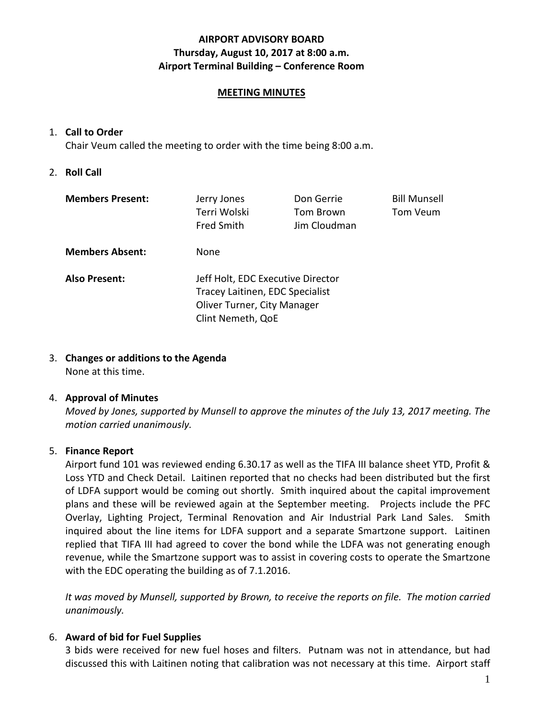## **AIRPORT ADVISORY BOARD Thursday, August 10, 2017 at 8:00 a.m. Airport Terminal Building – Conference Room**

### **MEETING MINUTES**

### 1. **Call to Order**

Chair Veum called the meeting to order with the time being 8:00 a.m.

### 2. **Roll Call**

| <b>Members Present:</b> | Jerry Jones<br>Terri Wolski<br><b>Fred Smith</b>                                                                         | Don Gerrie<br>Tom Brown<br>Jim Cloudman | <b>Bill Munsell</b><br>Tom Veum |
|-------------------------|--------------------------------------------------------------------------------------------------------------------------|-----------------------------------------|---------------------------------|
| <b>Members Absent:</b>  | None                                                                                                                     |                                         |                                 |
| <b>Also Present:</b>    | Jeff Holt, EDC Executive Director<br>Tracey Laitinen, EDC Specialist<br>Oliver Turner, City Manager<br>Clint Nemeth, QoE |                                         |                                 |

## 3. **Changes or additions to the Agenda**

None at this time.

### 4. **Approval of Minutes**

*Moved by Jones, supported by Munsell to approve the minutes of the July 13, 2017 meeting. The motion carried unanimously.*

### 5. **Finance Report**

Airport fund 101 was reviewed ending 6.30.17 as well as the TIFA III balance sheet YTD, Profit & Loss YTD and Check Detail. Laitinen reported that no checks had been distributed but the first of LDFA support would be coming out shortly. Smith inquired about the capital improvement plans and these will be reviewed again at the September meeting. Projects include the PFC Overlay, Lighting Project, Terminal Renovation and Air Industrial Park Land Sales. Smith inquired about the line items for LDFA support and a separate Smartzone support. Laitinen replied that TIFA III had agreed to cover the bond while the LDFA was not generating enough revenue, while the Smartzone support was to assist in covering costs to operate the Smartzone with the EDC operating the building as of 7.1.2016.

*It was moved by Munsell, supported by Brown, to receive the reports on file. The motion carried unanimously.*

### 6. **Award of bid for Fuel Supplies**

3 bids were received for new fuel hoses and filters. Putnam was not in attendance, but had discussed this with Laitinen noting that calibration was not necessary at this time. Airport staff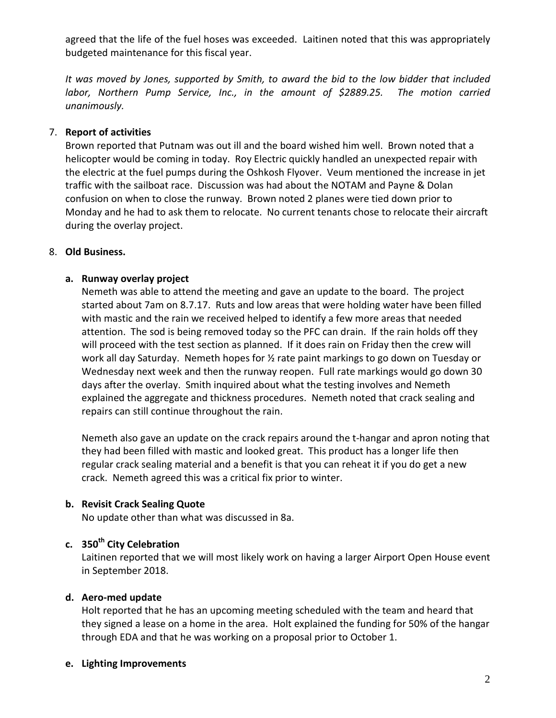agreed that the life of the fuel hoses was exceeded. Laitinen noted that this was appropriately budgeted maintenance for this fiscal year.

*It was moved by Jones, supported by Smith, to award the bid to the low bidder that included labor, Northern Pump Service, Inc., in the amount of \$2889.25. The motion carried unanimously.*

## 7. **Report of activities**

Brown reported that Putnam was out ill and the board wished him well. Brown noted that a helicopter would be coming in today. Roy Electric quickly handled an unexpected repair with the electric at the fuel pumps during the Oshkosh Flyover. Veum mentioned the increase in jet traffic with the sailboat race. Discussion was had about the NOTAM and Payne & Dolan confusion on when to close the runway. Brown noted 2 planes were tied down prior to Monday and he had to ask them to relocate. No current tenants chose to relocate their aircraft during the overlay project.

## 8. **Old Business.**

## **a. Runway overlay project**

Nemeth was able to attend the meeting and gave an update to the board. The project started about 7am on 8.7.17. Ruts and low areas that were holding water have been filled with mastic and the rain we received helped to identify a few more areas that needed attention. The sod is being removed today so the PFC can drain. If the rain holds off they will proceed with the test section as planned. If it does rain on Friday then the crew will work all day Saturday. Nemeth hopes for ½ rate paint markings to go down on Tuesday or Wednesday next week and then the runway reopen. Full rate markings would go down 30 days after the overlay. Smith inquired about what the testing involves and Nemeth explained the aggregate and thickness procedures. Nemeth noted that crack sealing and repairs can still continue throughout the rain.

Nemeth also gave an update on the crack repairs around the t-hangar and apron noting that they had been filled with mastic and looked great. This product has a longer life then regular crack sealing material and a benefit is that you can reheat it if you do get a new crack. Nemeth agreed this was a critical fix prior to winter.

## **b. Revisit Crack Sealing Quote**

No update other than what was discussed in 8a.

# **c. 350th City Celebration**

Laitinen reported that we will most likely work on having a larger Airport Open House event in September 2018.

### **d. Aero-med update**

Holt reported that he has an upcoming meeting scheduled with the team and heard that they signed a lease on a home in the area. Holt explained the funding for 50% of the hangar through EDA and that he was working on a proposal prior to October 1.

### **e. Lighting Improvements**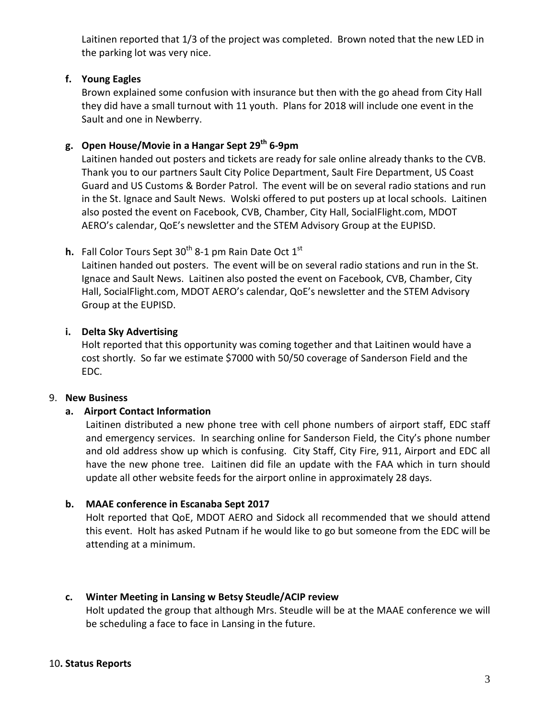Laitinen reported that 1/3 of the project was completed. Brown noted that the new LED in the parking lot was very nice.

## **f. Young Eagles**

Brown explained some confusion with insurance but then with the go ahead from City Hall they did have a small turnout with 11 youth. Plans for 2018 will include one event in the Sault and one in Newberry.

# **g. Open House/Movie in a Hangar Sept 29th 6-9pm**

Laitinen handed out posters and tickets are ready for sale online already thanks to the CVB. Thank you to our partners Sault City Police Department, Sault Fire Department, US Coast Guard and US Customs & Border Patrol. The event will be on several radio stations and run in the St. Ignace and Sault News. Wolski offered to put posters up at local schools. Laitinen also posted the event on Facebook, CVB, Chamber, City Hall, SocialFlight.com, MDOT AERO's calendar, QoE's newsletter and the STEM Advisory Group at the EUPISD.

# **h.** Fall Color Tours Sept 30<sup>th</sup> 8-1 pm Rain Date Oct 1<sup>st</sup>

Laitinen handed out posters. The event will be on several radio stations and run in the St. Ignace and Sault News. Laitinen also posted the event on Facebook, CVB, Chamber, City Hall, SocialFlight.com, MDOT AERO's calendar, QoE's newsletter and the STEM Advisory Group at the EUPISD.

## **i. Delta Sky Advertising**

Holt reported that this opportunity was coming together and that Laitinen would have a cost shortly. So far we estimate \$7000 with 50/50 coverage of Sanderson Field and the EDC.

### 9. **New Business**

## **a. Airport Contact Information**

Laitinen distributed a new phone tree with cell phone numbers of airport staff, EDC staff and emergency services. In searching online for Sanderson Field, the City's phone number and old address show up which is confusing. City Staff, City Fire, 911, Airport and EDC all have the new phone tree. Laitinen did file an update with the FAA which in turn should update all other website feeds for the airport online in approximately 28 days.

## **b. MAAE conference in Escanaba Sept 2017**

Holt reported that QoE, MDOT AERO and Sidock all recommended that we should attend this event. Holt has asked Putnam if he would like to go but someone from the EDC will be attending at a minimum.

## **c. Winter Meeting in Lansing w Betsy Steudle/ACIP review**

Holt updated the group that although Mrs. Steudle will be at the MAAE conference we will be scheduling a face to face in Lansing in the future.